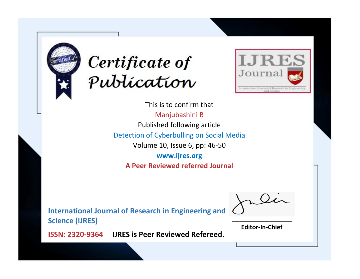



This is to confirm that Manjubashini B Published following article Detection of Cyberbulling on Social Media Volume 10, Issue 6, pp: 46-50 **www.ijres.org A Peer Reviewed referred Journal**

**International Journal of Research in Engineering and Science (IJRES)**

\_\_\_\_\_\_\_\_\_\_\_\_\_\_\_\_\_\_\_\_\_\_\_\_ **Editor-In-Chief**

**Journal.**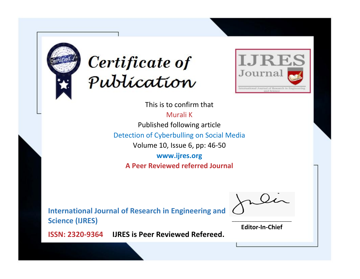



This is to confirm that Murali K

Published following article

Detection of Cyberbulling on Social Media

Volume 10, Issue 6, pp: 46-50

**www.ijres.org A Peer Reviewed referred Journal**

**International Journal of Research in Engineering and Science (IJRES)**

\_\_\_\_\_\_\_\_\_\_\_\_\_\_\_\_\_\_\_\_\_\_\_\_ **Editor-In-Chief**

**Journal.**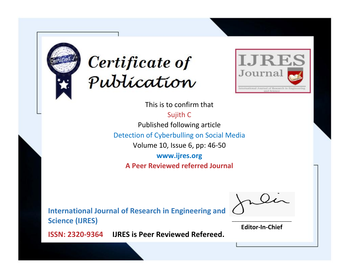



This is to confirm that Sujith C Published following article Detection of Cyberbulling on Social Media Volume 10, Issue 6, pp: 46-50 **www.ijres.org A Peer Reviewed referred Journal**

**International Journal of Research in Engineering and Science (IJRES)**

\_\_\_\_\_\_\_\_\_\_\_\_\_\_\_\_\_\_\_\_\_\_\_\_ **Editor-In-Chief**

**Journal.**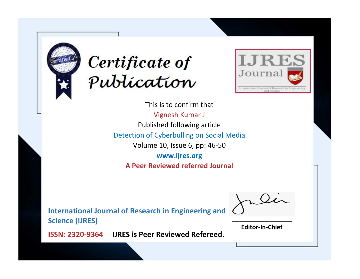



This is to confirm that Vignesh Kumar J Published following article Detection of Cyberbulling on Social Media Volume 10, Issue 6, pp: 46-50 **www.ijres.org A Peer Reviewed referred Journal**

**International Journal of Research in Engineering and Science (IJRES)**

\_\_\_\_\_\_\_\_\_\_\_\_\_\_\_\_\_\_\_\_\_\_\_\_ **Editor-In-Chief**

**Journal.**